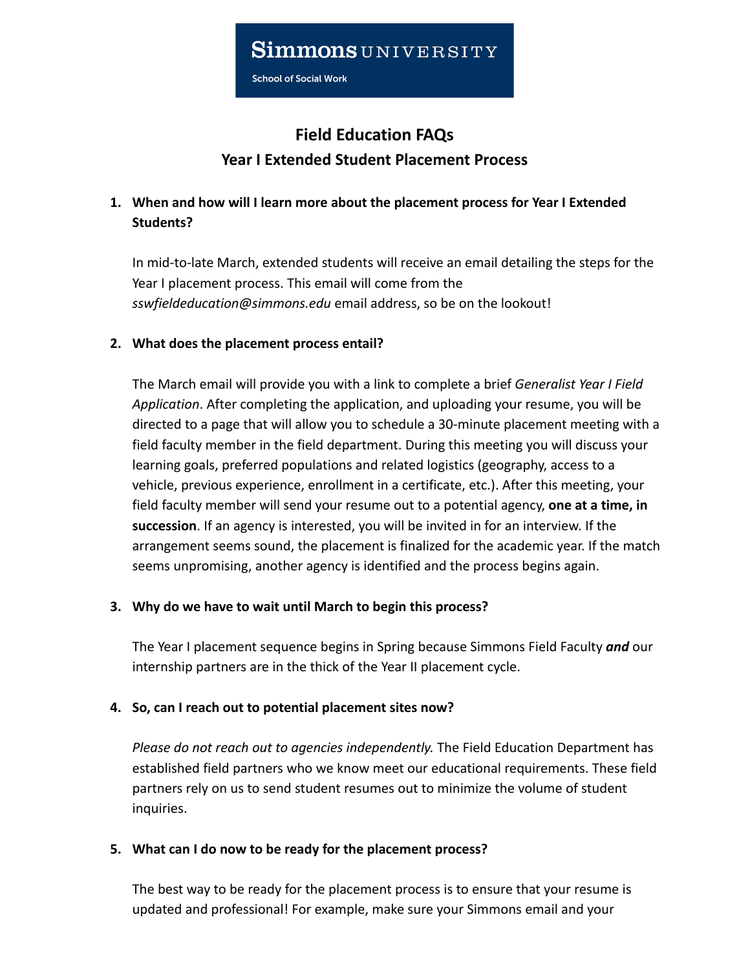School of Social Work

# **Field Education FAQs Year I Extended Student Placement Process**

## **1. When and how will I learn more about the placement process for Year I Extended Students?**

In mid-to-late March, extended students will receive an email detailing the steps for the Year I placement process. This email will come from the *[sswfieldeducation@simmons.edu](mailto:sswfieldeducation@simmons.edu)* email address, so be on the lookout!

### **2. What does the placement process entail?**

The March email will provide you with a link to complete a brief *Generalist Year I Field Application*. After completing the application, and uploading your resume, you will be directed to a page that will allow you to schedule a 30-minute placement meeting with a field faculty member in the field department. During this meeting you will discuss your learning goals, preferred populations and related logistics (geography, access to a vehicle, previous experience, enrollment in a certificate, etc.). After this meeting, your field faculty member will send your resume out to a potential agency, **one at a time, in succession**. If an agency is interested, you will be invited in for an interview. If the arrangement seems sound, the placement is finalized for the academic year. If the match seems unpromising, another agency is identified and the process begins again.

### **3. Why do we have to wait until March to begin this process?**

The Year I placement sequence begins in Spring because Simmons Field Faculty *and* our internship partners are in the thick of the Year II placement cycle.

### **4. So, can I reach out to potential placement sites now?**

*Please do not reach out to agencies independently.* The Field Education Department has established field partners who we know meet our educational requirements. These field partners rely on us to send student resumes out to minimize the volume of student inquiries.

### **5. What can I do now to be ready for the placement process?**

The best way to be ready for the placement process is to ensure that your resume is updated and professional! For example, make sure your Simmons email and your